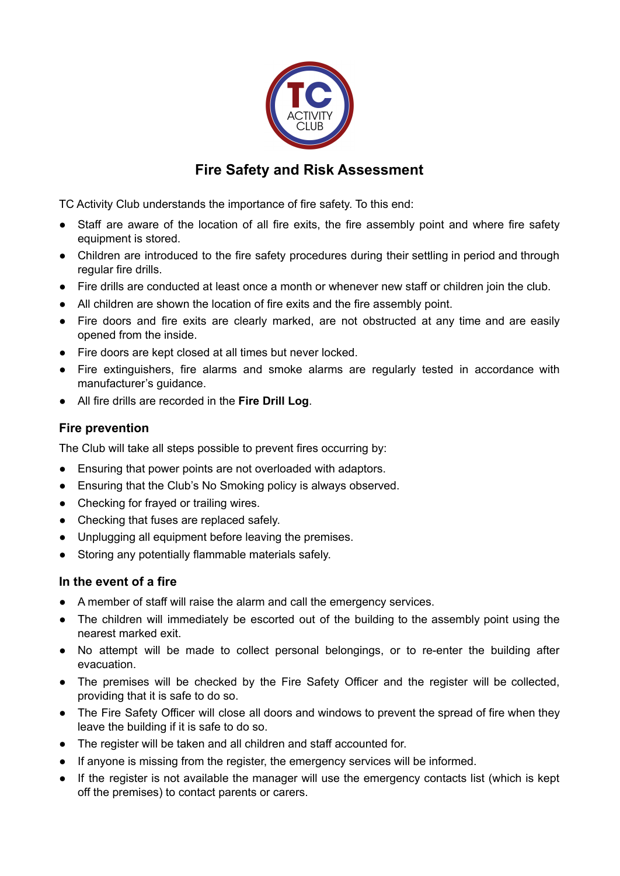

## **Fire Safety and Risk Assessment**

TC Activity Club understands the importance of fire safety. To this end:

- Staff are aware of the location of all fire exits, the fire assembly point and where fire safety equipment is stored.
- Children are introduced to the fire safety procedures during their settling in period and through regular fire drills.
- Fire drills are conducted at least once a month or whenever new staff or children join the club.
- All children are shown the location of fire exits and the fire assembly point.
- Fire doors and fire exits are clearly marked, are not obstructed at any time and are easily opened from the inside.
- Fire doors are kept closed at all times but never locked.
- Fire extinguishers, fire alarms and smoke alarms are regularly tested in accordance with manufacturer's guidance.
- All fire drills are recorded in the **Fire Drill Log**.

## **Fire prevention**

The Club will take all steps possible to prevent fires occurring by:

- Ensuring that power points are not overloaded with adaptors.
- Ensuring that the Club's No Smoking policy is always observed.
- Checking for frayed or trailing wires.
- Checking that fuses are replaced safely.
- Unplugging all equipment before leaving the premises.
- Storing any potentially flammable materials safely.

## **In the event of a fire**

- A member of staff will raise the alarm and call the emergency services.
- The children will immediately be escorted out of the building to the assembly point using the nearest marked exit.
- No attempt will be made to collect personal belongings, or to re-enter the building after evacuation.
- The premises will be checked by the Fire Safety Officer and the register will be collected, providing that it is safe to do so.
- The Fire Safety Officer will close all doors and windows to prevent the spread of fire when they leave the building if it is safe to do so.
- The register will be taken and all children and staff accounted for.
- If anyone is missing from the register, the emergency services will be informed.
- If the register is not available the manager will use the emergency contacts list (which is kept off the premises) to contact parents or carers.